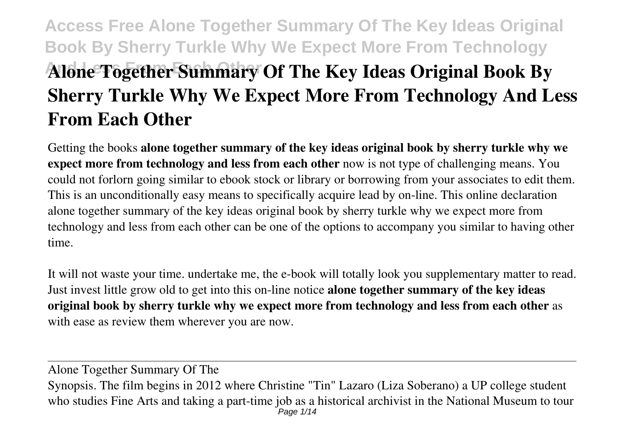# **Access Free Alone Together Summary Of The Key Ideas Original Book By Sherry Turkle Why We Expect More From Technology** Alone Together Summary Of The Key Ideas Original Book By **Sherry Turkle Why We Expect More From Technology And Less From Each Other**

Getting the books **alone together summary of the key ideas original book by sherry turkle why we expect more from technology and less from each other** now is not type of challenging means. You could not forlorn going similar to ebook stock or library or borrowing from your associates to edit them. This is an unconditionally easy means to specifically acquire lead by on-line. This online declaration alone together summary of the key ideas original book by sherry turkle why we expect more from technology and less from each other can be one of the options to accompany you similar to having other time.

It will not waste your time. undertake me, the e-book will totally look you supplementary matter to read. Just invest little grow old to get into this on-line notice **alone together summary of the key ideas original book by sherry turkle why we expect more from technology and less from each other** as with ease as review them wherever you are now.

Alone Together Summary Of The Synopsis. The film begins in 2012 where Christine "Tin" Lazaro (Liza Soberano) a UP college student who studies Fine Arts and taking a part-time job as a historical archivist in the National Museum to tour Page 1/14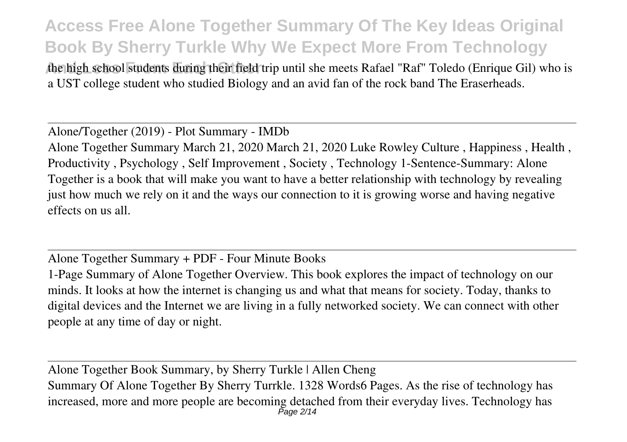the high school students during their field trip until she meets Rafael "Raf" Toledo (Enrique Gil) who is a UST college student who studied Biology and an avid fan of the rock band The Eraserheads.

Alone/Together (2019) - Plot Summary - IMDb Alone Together Summary March 21, 2020 March 21, 2020 Luke Rowley Culture , Happiness , Health , Productivity , Psychology , Self Improvement , Society , Technology 1-Sentence-Summary: Alone Together is a book that will make you want to have a better relationship with technology by revealing just how much we rely on it and the ways our connection to it is growing worse and having negative effects on us all.

Alone Together Summary + PDF - Four Minute Books

1-Page Summary of Alone Together Overview. This book explores the impact of technology on our minds. It looks at how the internet is changing us and what that means for society. Today, thanks to digital devices and the Internet we are living in a fully networked society. We can connect with other people at any time of day or night.

Alone Together Book Summary, by Sherry Turkle | Allen Cheng Summary Of Alone Together By Sherry Turrkle. 1328 Words6 Pages. As the rise of technology has increased, more and more people are becoming detached from their everyday lives. Technology has Page 2/14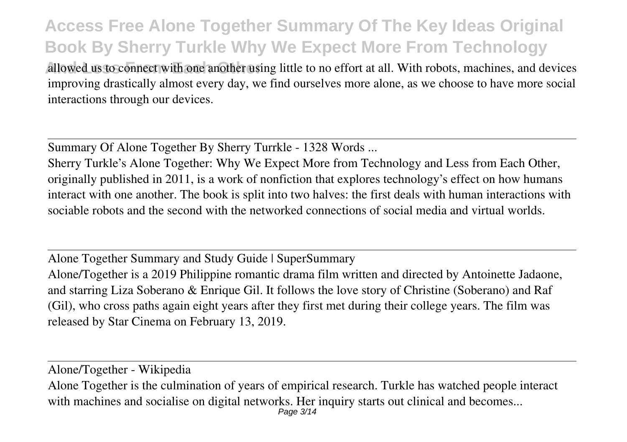allowed us to connect with one another using little to no effort at all. With robots, machines, and devices improving drastically almost every day, we find ourselves more alone, as we choose to have more social interactions through our devices.

Summary Of Alone Together By Sherry Turrkle - 1328 Words ...

Sherry Turkle's Alone Together: Why We Expect More from Technology and Less from Each Other, originally published in 2011, is a work of nonfiction that explores technology's effect on how humans interact with one another. The book is split into two halves: the first deals with human interactions with sociable robots and the second with the networked connections of social media and virtual worlds.

Alone Together Summary and Study Guide | SuperSummary Alone/Together is a 2019 Philippine romantic drama film written and directed by Antoinette Jadaone, and starring Liza Soberano & Enrique Gil. It follows the love story of Christine (Soberano) and Raf (Gil), who cross paths again eight years after they first met during their college years. The film was released by Star Cinema on February 13, 2019.

Alone/Together - Wikipedia

Alone Together is the culmination of years of empirical research. Turkle has watched people interact with machines and socialise on digital networks. Her inquiry starts out clinical and becomes... Page 3/14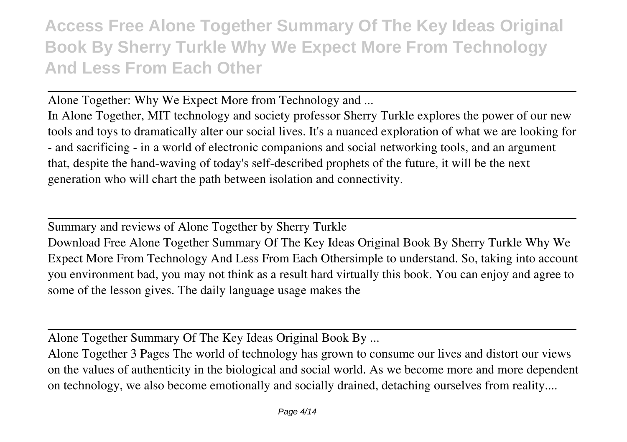Alone Together: Why We Expect More from Technology and ...

In Alone Together, MIT technology and society professor Sherry Turkle explores the power of our new tools and toys to dramatically alter our social lives. It's a nuanced exploration of what we are looking for - and sacrificing - in a world of electronic companions and social networking tools, and an argument that, despite the hand-waving of today's self-described prophets of the future, it will be the next generation who will chart the path between isolation and connectivity.

Summary and reviews of Alone Together by Sherry Turkle

Download Free Alone Together Summary Of The Key Ideas Original Book By Sherry Turkle Why We Expect More From Technology And Less From Each Othersimple to understand. So, taking into account you environment bad, you may not think as a result hard virtually this book. You can enjoy and agree to some of the lesson gives. The daily language usage makes the

Alone Together Summary Of The Key Ideas Original Book By ...

Alone Together 3 Pages The world of technology has grown to consume our lives and distort our views on the values of authenticity in the biological and social world. As we become more and more dependent on technology, we also become emotionally and socially drained, detaching ourselves from reality....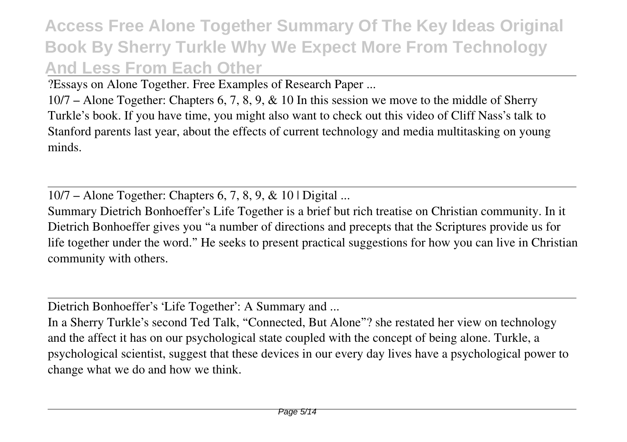?Essays on Alone Together. Free Examples of Research Paper ...

10/7 – Alone Together: Chapters 6, 7, 8, 9, & 10 In this session we move to the middle of Sherry Turkle's book. If you have time, you might also want to check out this video of Cliff Nass's talk to Stanford parents last year, about the effects of current technology and media multitasking on young minds.

10/7 – Alone Together: Chapters 6, 7, 8, 9, & 10 | Digital ...

Summary Dietrich Bonhoeffer's Life Together is a brief but rich treatise on Christian community. In it Dietrich Bonhoeffer gives you "a number of directions and precepts that the Scriptures provide us for life together under the word." He seeks to present practical suggestions for how you can live in Christian community with others.

Dietrich Bonhoeffer's 'Life Together': A Summary and ...

In a Sherry Turkle's second Ted Talk, "Connected, But Alone"? she restated her view on technology and the affect it has on our psychological state coupled with the concept of being alone. Turkle, a psychological scientist, suggest that these devices in our every day lives have a psychological power to change what we do and how we think.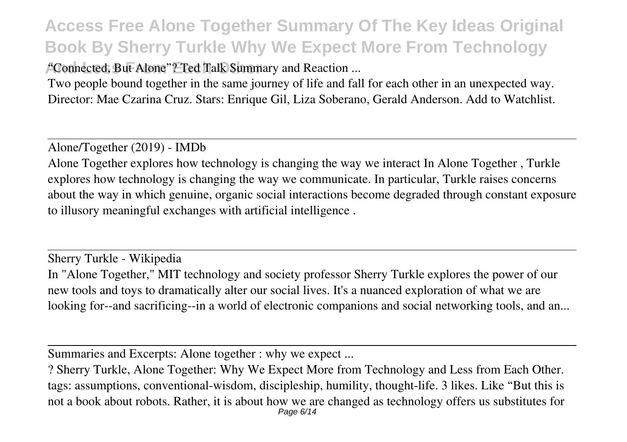<sup>A</sup>Connected, But Alone"? Ted Talk Summary and Reaction ...

Two people bound together in the same journey of life and fall for each other in an unexpected way. Director: Mae Czarina Cruz. Stars: Enrique Gil, Liza Soberano, Gerald Anderson. Add to Watchlist.

Alone/Together (2019) - IMDb

Alone Together explores how technology is changing the way we interact In Alone Together , Turkle explores how technology is changing the way we communicate. In particular, Turkle raises concerns about the way in which genuine, organic social interactions become degraded through constant exposure to illusory meaningful exchanges with artificial intelligence .

Sherry Turkle - Wikipedia In "Alone Together," MIT technology and society professor Sherry Turkle explores the power of our new tools and toys to dramatically alter our social lives. It's a nuanced exploration of what we are looking for--and sacrificing--in a world of electronic companions and social networking tools, and an...

Summaries and Excerpts: Alone together : why we expect ...

? Sherry Turkle, Alone Together: Why We Expect More from Technology and Less from Each Other. tags: assumptions, conventional-wisdom, discipleship, humility, thought-life. 3 likes. Like "But this is not a book about robots. Rather, it is about how we are changed as technology offers us substitutes for Page 6/14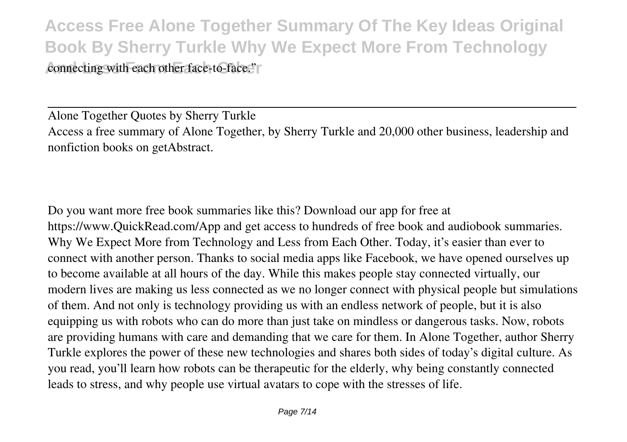**Access Free Alone Together Summary Of The Key Ideas Original Book By Sherry Turkle Why We Expect More From Technology** connecting with each other face-to-face."

Alone Together Quotes by Sherry Turkle Access a free summary of Alone Together, by Sherry Turkle and 20,000 other business, leadership and nonfiction books on getAbstract.

Do you want more free book summaries like this? Download our app for free at https://www.QuickRead.com/App and get access to hundreds of free book and audiobook summaries. Why We Expect More from Technology and Less from Each Other. Today, it's easier than ever to connect with another person. Thanks to social media apps like Facebook, we have opened ourselves up to become available at all hours of the day. While this makes people stay connected virtually, our modern lives are making us less connected as we no longer connect with physical people but simulations of them. And not only is technology providing us with an endless network of people, but it is also equipping us with robots who can do more than just take on mindless or dangerous tasks. Now, robots are providing humans with care and demanding that we care for them. In Alone Together, author Sherry Turkle explores the power of these new technologies and shares both sides of today's digital culture. As you read, you'll learn how robots can be therapeutic for the elderly, why being constantly connected leads to stress, and why people use virtual avatars to cope with the stresses of life.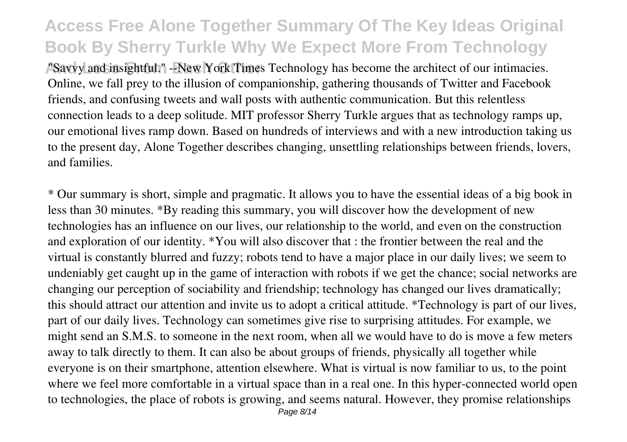**And Analyzis From East Section Times Technology has become the architect of our intimacies.** Online, we fall prey to the illusion of companionship, gathering thousands of Twitter and Facebook friends, and confusing tweets and wall posts with authentic communication. But this relentless connection leads to a deep solitude. MIT professor Sherry Turkle argues that as technology ramps up, our emotional lives ramp down. Based on hundreds of interviews and with a new introduction taking us to the present day, Alone Together describes changing, unsettling relationships between friends, lovers, and families.

\* Our summary is short, simple and pragmatic. It allows you to have the essential ideas of a big book in less than 30 minutes. \*By reading this summary, you will discover how the development of new technologies has an influence on our lives, our relationship to the world, and even on the construction and exploration of our identity. \*You will also discover that : the frontier between the real and the virtual is constantly blurred and fuzzy; robots tend to have a major place in our daily lives; we seem to undeniably get caught up in the game of interaction with robots if we get the chance; social networks are changing our perception of sociability and friendship; technology has changed our lives dramatically; this should attract our attention and invite us to adopt a critical attitude. \*Technology is part of our lives, part of our daily lives. Technology can sometimes give rise to surprising attitudes. For example, we might send an S.M.S. to someone in the next room, when all we would have to do is move a few meters away to talk directly to them. It can also be about groups of friends, physically all together while everyone is on their smartphone, attention elsewhere. What is virtual is now familiar to us, to the point where we feel more comfortable in a virtual space than in a real one. In this hyper-connected world open to technologies, the place of robots is growing, and seems natural. However, they promise relationships Page 8/14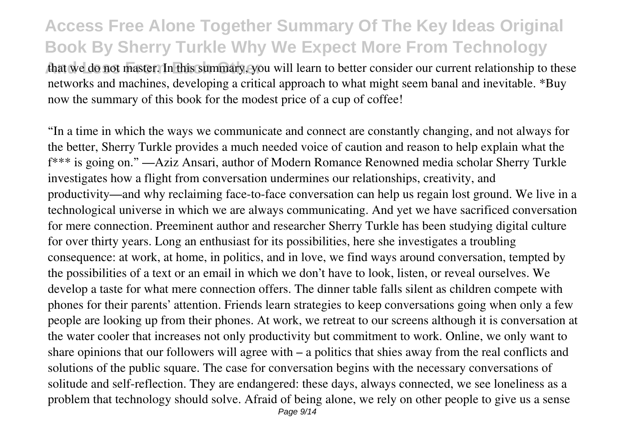that we do not master. In this summary, you will learn to better consider our current relationship to these networks and machines, developing a critical approach to what might seem banal and inevitable. \*Buy now the summary of this book for the modest price of a cup of coffee!

"In a time in which the ways we communicate and connect are constantly changing, and not always for the better, Sherry Turkle provides a much needed voice of caution and reason to help explain what the f\*\*\* is going on." —Aziz Ansari, author of Modern Romance Renowned media scholar Sherry Turkle investigates how a flight from conversation undermines our relationships, creativity, and productivity—and why reclaiming face-to-face conversation can help us regain lost ground. We live in a technological universe in which we are always communicating. And yet we have sacrificed conversation for mere connection. Preeminent author and researcher Sherry Turkle has been studying digital culture for over thirty years. Long an enthusiast for its possibilities, here she investigates a troubling consequence: at work, at home, in politics, and in love, we find ways around conversation, tempted by the possibilities of a text or an email in which we don't have to look, listen, or reveal ourselves. We develop a taste for what mere connection offers. The dinner table falls silent as children compete with phones for their parents' attention. Friends learn strategies to keep conversations going when only a few people are looking up from their phones. At work, we retreat to our screens although it is conversation at the water cooler that increases not only productivity but commitment to work. Online, we only want to share opinions that our followers will agree with – a politics that shies away from the real conflicts and solutions of the public square. The case for conversation begins with the necessary conversations of solitude and self-reflection. They are endangered: these days, always connected, we see loneliness as a problem that technology should solve. Afraid of being alone, we rely on other people to give us a sense Page  $9/14$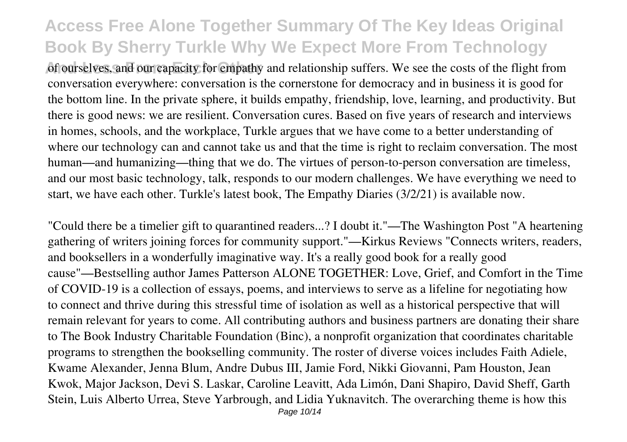of ourselves, and our capacity for empathy and relationship suffers. We see the costs of the flight from conversation everywhere: conversation is the cornerstone for democracy and in business it is good for the bottom line. In the private sphere, it builds empathy, friendship, love, learning, and productivity. But there is good news: we are resilient. Conversation cures. Based on five years of research and interviews in homes, schools, and the workplace, Turkle argues that we have come to a better understanding of where our technology can and cannot take us and that the time is right to reclaim conversation. The most human—and humanizing—thing that we do. The virtues of person-to-person conversation are timeless, and our most basic technology, talk, responds to our modern challenges. We have everything we need to start, we have each other. Turkle's latest book, The Empathy Diaries (3/2/21) is available now.

"Could there be a timelier gift to quarantined readers...? I doubt it."—The Washington Post "A heartening gathering of writers joining forces for community support."—Kirkus Reviews "Connects writers, readers, and booksellers in a wonderfully imaginative way. It's a really good book for a really good cause"—Bestselling author James Patterson ALONE TOGETHER: Love, Grief, and Comfort in the Time of COVID-19 is a collection of essays, poems, and interviews to serve as a lifeline for negotiating how to connect and thrive during this stressful time of isolation as well as a historical perspective that will remain relevant for years to come. All contributing authors and business partners are donating their share to The Book Industry Charitable Foundation (Binc), a nonprofit organization that coordinates charitable programs to strengthen the bookselling community. The roster of diverse voices includes Faith Adiele, Kwame Alexander, Jenna Blum, Andre Dubus III, Jamie Ford, Nikki Giovanni, Pam Houston, Jean Kwok, Major Jackson, Devi S. Laskar, Caroline Leavitt, Ada Limón, Dani Shapiro, David Sheff, Garth Stein, Luis Alberto Urrea, Steve Yarbrough, and Lidia Yuknavitch. The overarching theme is how this Page 10/14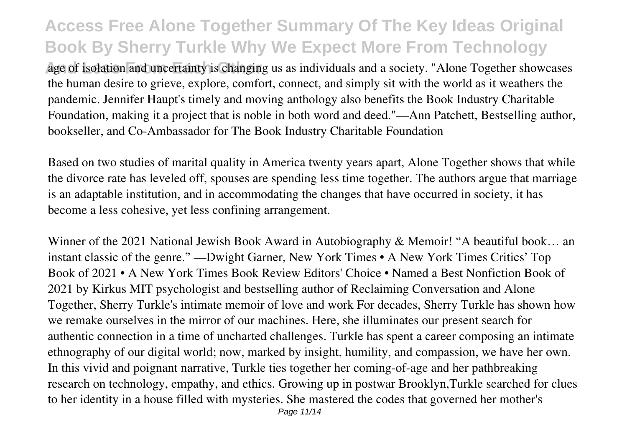age of isolation and uncertainty is changing us as individuals and a society. "Alone Together showcases" the human desire to grieve, explore, comfort, connect, and simply sit with the world as it weathers the pandemic. Jennifer Haupt's timely and moving anthology also benefits the Book Industry Charitable Foundation, making it a project that is noble in both word and deed."—Ann Patchett, Bestselling author, bookseller, and Co-Ambassador for The Book Industry Charitable Foundation

Based on two studies of marital quality in America twenty years apart, Alone Together shows that while the divorce rate has leveled off, spouses are spending less time together. The authors argue that marriage is an adaptable institution, and in accommodating the changes that have occurred in society, it has become a less cohesive, yet less confining arrangement.

Winner of the 2021 National Jewish Book Award in Autobiography & Memoir! "A beautiful book… an instant classic of the genre." —Dwight Garner, New York Times • A New York Times Critics' Top Book of 2021 • A New York Times Book Review Editors' Choice • Named a Best Nonfiction Book of 2021 by Kirkus MIT psychologist and bestselling author of Reclaiming Conversation and Alone Together, Sherry Turkle's intimate memoir of love and work For decades, Sherry Turkle has shown how we remake ourselves in the mirror of our machines. Here, she illuminates our present search for authentic connection in a time of uncharted challenges. Turkle has spent a career composing an intimate ethnography of our digital world; now, marked by insight, humility, and compassion, we have her own. In this vivid and poignant narrative, Turkle ties together her coming-of-age and her pathbreaking research on technology, empathy, and ethics. Growing up in postwar Brooklyn,Turkle searched for clues to her identity in a house filled with mysteries. She mastered the codes that governed her mother's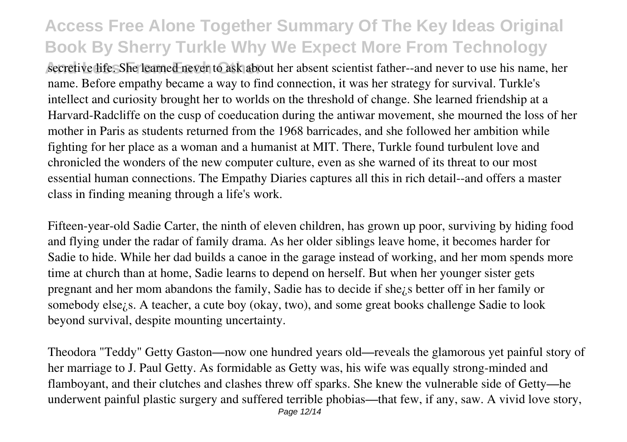secretive life. She learned never to ask about her absent scientist father--and never to use his name, her name. Before empathy became a way to find connection, it was her strategy for survival. Turkle's intellect and curiosity brought her to worlds on the threshold of change. She learned friendship at a Harvard-Radcliffe on the cusp of coeducation during the antiwar movement, she mourned the loss of her mother in Paris as students returned from the 1968 barricades, and she followed her ambition while fighting for her place as a woman and a humanist at MIT. There, Turkle found turbulent love and chronicled the wonders of the new computer culture, even as she warned of its threat to our most essential human connections. The Empathy Diaries captures all this in rich detail--and offers a master class in finding meaning through a life's work.

Fifteen-year-old Sadie Carter, the ninth of eleven children, has grown up poor, surviving by hiding food and flying under the radar of family drama. As her older siblings leave home, it becomes harder for Sadie to hide. While her dad builds a canoe in the garage instead of working, and her mom spends more time at church than at home, Sadie learns to depend on herself. But when her younger sister gets pregnant and her mom abandons the family, Sadie has to decide if she¿s better off in her family or somebody else¿s. A teacher, a cute boy (okay, two), and some great books challenge Sadie to look beyond survival, despite mounting uncertainty.

Theodora "Teddy" Getty Gaston—now one hundred years old—reveals the glamorous yet painful story of her marriage to J. Paul Getty. As formidable as Getty was, his wife was equally strong-minded and flamboyant, and their clutches and clashes threw off sparks. She knew the vulnerable side of Getty—he underwent painful plastic surgery and suffered terrible phobias—that few, if any, saw. A vivid love story,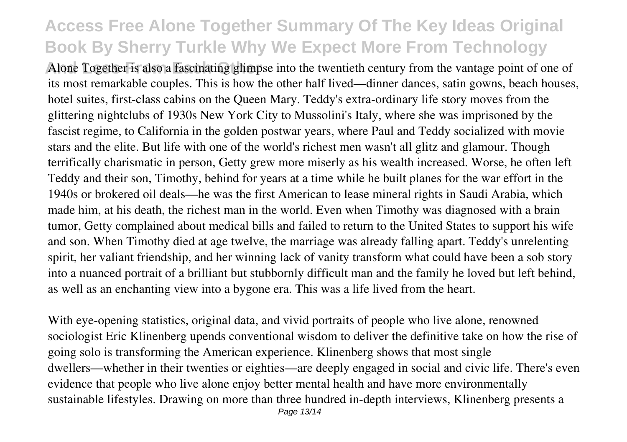Alone Together is also a fascinating glimpse into the twentieth century from the vantage point of one of its most remarkable couples. This is how the other half lived—dinner dances, satin gowns, beach houses, hotel suites, first-class cabins on the Queen Mary. Teddy's extra-ordinary life story moves from the glittering nightclubs of 1930s New York City to Mussolini's Italy, where she was imprisoned by the fascist regime, to California in the golden postwar years, where Paul and Teddy socialized with movie stars and the elite. But life with one of the world's richest men wasn't all glitz and glamour. Though terrifically charismatic in person, Getty grew more miserly as his wealth increased. Worse, he often left Teddy and their son, Timothy, behind for years at a time while he built planes for the war effort in the 1940s or brokered oil deals—he was the first American to lease mineral rights in Saudi Arabia, which made him, at his death, the richest man in the world. Even when Timothy was diagnosed with a brain tumor, Getty complained about medical bills and failed to return to the United States to support his wife and son. When Timothy died at age twelve, the marriage was already falling apart. Teddy's unrelenting spirit, her valiant friendship, and her winning lack of vanity transform what could have been a sob story into a nuanced portrait of a brilliant but stubbornly difficult man and the family he loved but left behind, as well as an enchanting view into a bygone era. This was a life lived from the heart.

With eye-opening statistics, original data, and vivid portraits of people who live alone, renowned sociologist Eric Klinenberg upends conventional wisdom to deliver the definitive take on how the rise of going solo is transforming the American experience. Klinenberg shows that most single dwellers—whether in their twenties or eighties—are deeply engaged in social and civic life. There's even evidence that people who live alone enjoy better mental health and have more environmentally sustainable lifestyles. Drawing on more than three hundred in-depth interviews, Klinenberg presents a